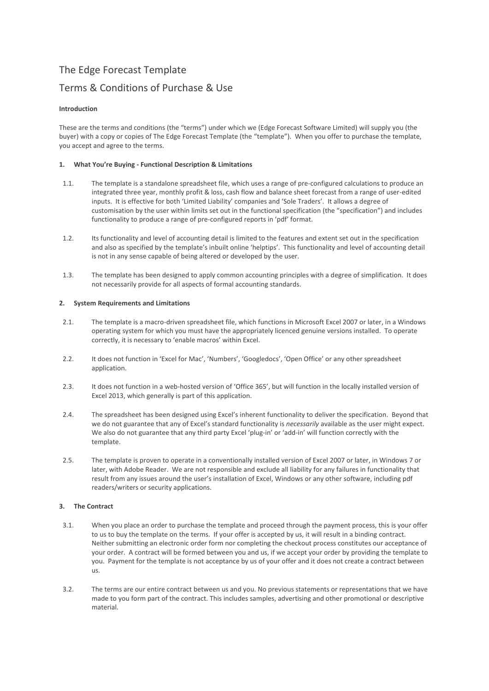# The Edge Forecast Template

## Terms & Conditions of Purchase & Use

## **Introduction**

These are the terms and conditions (the "terms") under which we (Edge Forecast Software Limited) will supply you (the buyer) with a copy or copies of The Edge Forecast Template (the "template"). When you offer to purchase the template, you accept and agree to the terms.

## **1. What You're Buying - Functional Description & Limitations**

- 1.1. The template is a standalone spreadsheet file, which uses a range of pre-configured calculations to produce an integrated three year, monthly profit & loss, cash flow and balance sheet forecast from a range of user-edited inputs. It is effective for both 'Limited Liability' companies and 'Sole Traders'. It allows a degree of customisation by the user within limits set out in the functional specification (the "specification") and includes functionality to produce a range of pre-configured reports in 'pdf' format.
- 1.2. Its functionality and level of accounting detail is limited to the features and extent set out in the specification and also as specified by the template's inbuilt online 'helptips'. This functionality and level of accounting detail is not in any sense capable of being altered or developed by the user.
- 1.3. The template has been designed to apply common accounting principles with a degree of simplification. It does not necessarily provide for all aspects of formal accounting standards.

### **2. System Requirements and Limitations**

- 2.1. The template is a macro-driven spreadsheet file, which functions in Microsoft Excel 2007 or later, in a Windows operating system for which you must have the appropriately licenced genuine versions installed. To operate correctly, it is necessary to 'enable macros' within Excel.
- 2.2. It does not function in 'Excel for Mac', 'Numbers', 'Googledocs', 'Open Office' or any other spreadsheet application.
- 2.3. It does not function in a web-hosted version of 'Office 365', but will function in the locally installed version of Excel 2013, which generally is part of this application.
- 2.4. The spreadsheet has been designed using Excel's inherent functionality to deliver the specification. Beyond that we do not guarantee that any of Excel's standard functionality is *necessarily* available as the user might expect. We also do not guarantee that any third party Excel 'plug-in' or 'add-in' will function correctly with the template.
- 2.5. The template is proven to operate in a conventionally installed version of Excel 2007 or later, in Windows 7 or later, with Adobe Reader. We are not responsible and exclude all liability for any failures in functionality that result from any issues around the user's installation of Excel, Windows or any other software, including pdf readers/writers or security applications.

## **3. The Contract**

- 3.1. When you place an order to purchase the template and proceed through the payment process, this is your offer to us to buy the template on the terms. If your offer is accepted by us, it will result in a binding contract. Neither submitting an electronic order form nor completing the checkout process constitutes our acceptance of your order. A contract will be formed between you and us, if we accept your order by providing the template to you. Payment for the template is not acceptance by us of your offer and it does not create a contract between us.
- 3.2. The terms are our entire contract between us and you. No previous statements or representations that we have made to you form part of the contract. This includes samples, advertising and other promotional or descriptive material.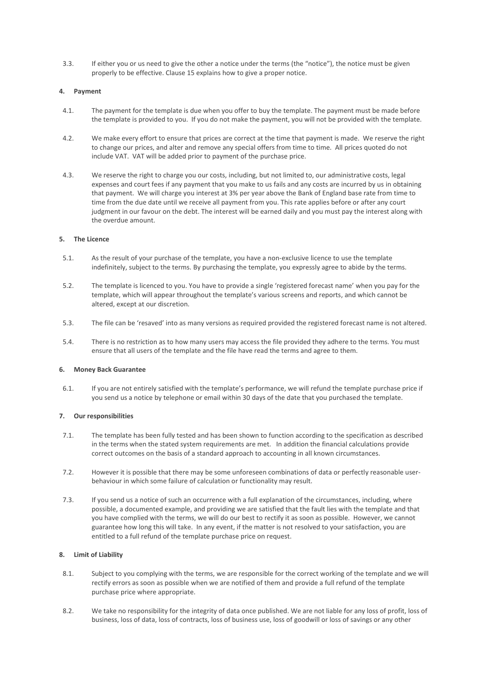3.3. If either you or us need to give the other a notice under the terms (the "notice"), the notice must be given properly to be effective. Clause 15 explains how to give a proper notice.

#### **4. Payment**

- 4.1. The payment for the template is due when you offer to buy the template. The payment must be made before the template is provided to you. If you do not make the payment, you will not be provided with the template.
- 4.2. We make every effort to ensure that prices are correct at the time that payment is made. We reserve the right to change our prices, and alter and remove any special offers from time to time. All prices quoted do not include VAT. VAT will be added prior to payment of the purchase price.
- 4.3. We reserve the right to charge you our costs, including, but not limited to, our administrative costs, legal expenses and court fees if any payment that you make to us fails and any costs are incurred by us in obtaining that payment. We will charge you interest at 3% per year above the Bank of England base rate from time to time from the due date until we receive all payment from you. This rate applies before or after any court judgment in our favour on the debt. The interest will be earned daily and you must pay the interest along with the overdue amount.

#### **5. The Licence**

- 5.1. As the result of your purchase of the template, you have a non-exclusive licence to use the template indefinitely, subject to the terms. By purchasing the template, you expressly agree to abide by the terms.
- 5.2. The template is licenced to you. You have to provide a single 'registered forecast name' when you pay for the template, which will appear throughout the template's various screens and reports, and which cannot be altered, except at our discretion.
- 5.3. The file can be 'resaved' into as many versions as required provided the registered forecast name is not altered.
- 5.4. There is no restriction as to how many users may access the file provided they adhere to the terms. You must ensure that all users of the template and the file have read the terms and agree to them.

#### **6. Money Back Guarantee**

6.1. If you are not entirely satisfied with the template's performance, we will refund the template purchase price if you send us a notice by telephone or email within 30 days of the date that you purchased the template.

#### **7. Our responsibilities**

- 7.1. The template has been fully tested and has been shown to function according to the specification as described in the terms when the stated system requirements are met. In addition the financial calculations provide correct outcomes on the basis of a standard approach to accounting in all known circumstances.
- 7.2. However it is possible that there may be some unforeseen combinations of data or perfectly reasonable userbehaviour in which some failure of calculation or functionality may result.
- 7.3. If you send us a notice of such an occurrence with a full explanation of the circumstances, including, where possible, a documented example, and providing we are satisfied that the fault lies with the template and that you have complied with the terms, we will do our best to rectify it as soon as possible. However, we cannot guarantee how long this will take. In any event, if the matter is not resolved to your satisfaction, you are entitled to a full refund of the template purchase price on request.

#### **8. Limit of Liability**

- 8.1. Subject to you complying with the terms, we are responsible for the correct working of the template and we will rectify errors as soon as possible when we are notified of them and provide a full refund of the template purchase price where appropriate.
- 8.2. We take no responsibility for the integrity of data once published. We are not liable for any loss of profit, loss of business, loss of data, loss of contracts, loss of business use, loss of goodwill or loss of savings or any other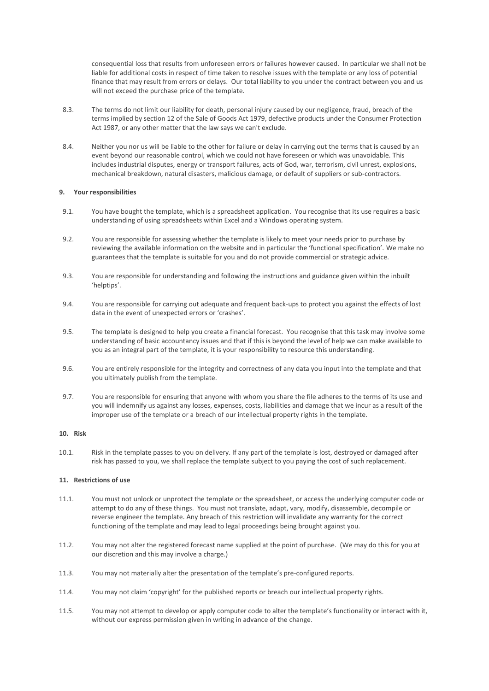consequential loss that results from unforeseen errors or failures however caused. In particular we shall not be liable for additional costs in respect of time taken to resolve issues with the template or any loss of potential finance that may result from errors or delays. Our total liability to you under the contract between you and us will not exceed the purchase price of the template.

- 8.3. The terms do not limit our liability for death, personal injury caused by our negligence, fraud, breach of the terms implied by section 12 of the Sale of Goods Act 1979, defective products under the Consumer Protection Act 1987, or any other matter that the law says we can't exclude.
- 8.4. Neither you nor us will be liable to the other for failure or delay in carrying out the terms that is caused by an event beyond our reasonable control, which we could not have foreseen or which was unavoidable. This includes industrial disputes, energy or transport failures, acts of God, war, terrorism, civil unrest, explosions, mechanical breakdown, natural disasters, malicious damage, or default of suppliers or sub-contractors.

#### **9. Your responsibilities**

- 9.1. You have bought the template, which is a spreadsheet application. You recognise that its use requires a basic understanding of using spreadsheets within Excel and a Windows operating system.
- 9.2. You are responsible for assessing whether the template is likely to meet your needs prior to purchase by reviewing the available information on the website and in particular the 'functional specification'. We make no guarantees that the template is suitable for you and do not provide commercial or strategic advice.
- 9.3. You are responsible for understanding and following the instructions and guidance given within the inbuilt 'helptips'.
- 9.4. You are responsible for carrying out adequate and frequent back-ups to protect you against the effects of lost data in the event of unexpected errors or 'crashes'.
- 9.5. The template is designed to help you create a financial forecast. You recognise that this task may involve some understanding of basic accountancy issues and that if this is beyond the level of help we can make available to you as an integral part of the template, it is your responsibility to resource this understanding.
- 9.6. You are entirely responsible for the integrity and correctness of any data you input into the template and that you ultimately publish from the template.
- 9.7. You are responsible for ensuring that anyone with whom you share the file adheres to the terms of its use and you will indemnify us against any losses, expenses, costs, liabilities and damage that we incur as a result of the improper use of the template or a breach of our intellectual property rights in the template.

#### **10. Risk**

10.1. Risk in the template passes to you on delivery. If any part of the template is lost, destroyed or damaged after risk has passed to you, we shall replace the template subject to you paying the cost of such replacement.

#### **11. Restrictions of use**

- 11.1. You must not unlock or unprotect the template or the spreadsheet, or access the underlying computer code or attempt to do any of these things. You must not translate, adapt, vary, modify, disassemble, decompile or reverse engineer the template. Any breach of this restriction will invalidate any warranty for the correct functioning of the template and may lead to legal proceedings being brought against you.
- 11.2. You may not alter the registered forecast name supplied at the point of purchase. (We may do this for you at our discretion and this may involve a charge.)
- 11.3. You may not materially alter the presentation of the template's pre-configured reports.
- 11.4. You may not claim 'copyright' for the published reports or breach our intellectual property rights.
- 11.5. You may not attempt to develop or apply computer code to alter the template's functionality or interact with it, without our express permission given in writing in advance of the change.